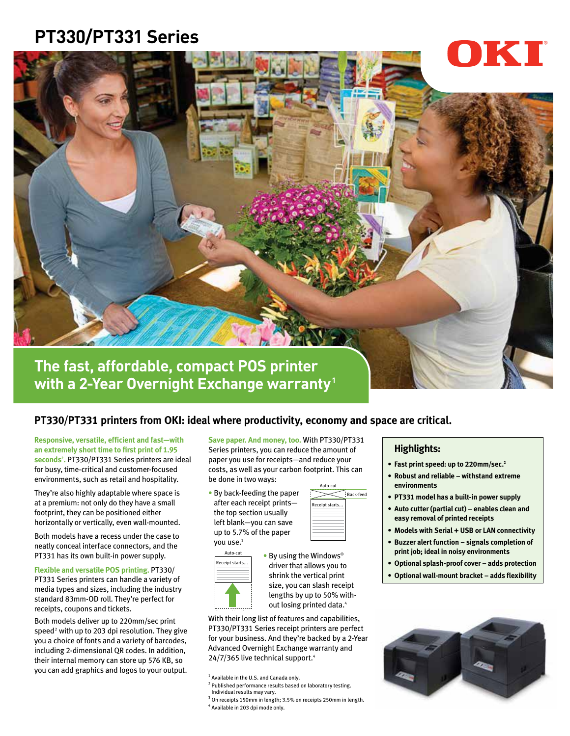## **PT330/PT331 Series**



**with a 2-Year Overnight Exchange warranty1**

## **PT330/PT331 printers from OKI: ideal where productivity, economy and space are critical.**

**Responsive, versatile, efficient and fast—with an extremely short time to first print of 1.95 seconds2 .** PT330/PT331 Series printers are ideal for busy, time-critical and customer-focused environments, such as retail and hospitality.

They're also highly adaptable where space is at a premium: not only do they have a small footprint, they can be positioned either horizontally or vertically, even wall-mounted.

Both models have a recess under the case to neatly conceal interface connectors, and the PT331 has its own built-in power supply.

**Flexible and versatile POS printing. PT330/** PT331 Series printers can handle a variety of media types and sizes, including the industry standard 83mm-OD roll. They're perfect for receipts, coupons and tickets.

Both models deliver up to 220mm/sec print  $speed<sup>2</sup>$  with up to 203 dpi resolution. They give you a choice of fonts and a variety of barcodes, including 2-dimensional QR codes. In addition, their internal memory can store up 576 KB, so you can add graphics and logos to your output.

**Save paper. And money, too.** With PT330/PT331 Series printers, you can reduce the amount of paper you use for receipts—and reduce your costs, as well as your carbon footprint. This can be done in two ways:

• By back-feeding the paper after each receipt prints the top section usually left blank—you can save up to 5.7% of the paper you use.<sup>3</sup>

Auto-cut Receipt starts...



• By using the Windows® driver that allows you to shrink the vertical print size, you can slash receipt lengths by up to 50% without losing printed data.<sup>4</sup>

With their long list of features and capabilities, PT330/PT331 Series receipt printers are perfect for your business. And they're backed by a 2-Year Advanced Overnight Exchange warranty and 24/7/365 live technical support.<sup>4</sup>

<sup>2</sup> Published performance results based on laboratory testing. Individual results may vary.

 $3$  On receipts 150mm in length; 3.5% on receipts 250mm in length.<br>4 Available in 203 dai mode only. <sup>4</sup> Available in 203 dpi mode only.

## **Highlights:**

- **• Fast print speed: up to 220mm/sec.2**
- **• Robust and reliable withstand extreme**  environments
- **PT331 model has a built-in power supply**
- **• Auto cutter (partial cut) enables clean and easy removal of printed receipts**
- **• Models with Serial + USB or LAN connectivity**
- **Buzzer alert function signals completion of print job; ideal in noisy environments**
- **• Optional splash-proof cover adds protection**
- **• Optional wall-mount bracket adds flexibility**



<sup>&</sup>lt;sup>1</sup> Available in the U.S. and Canada only.